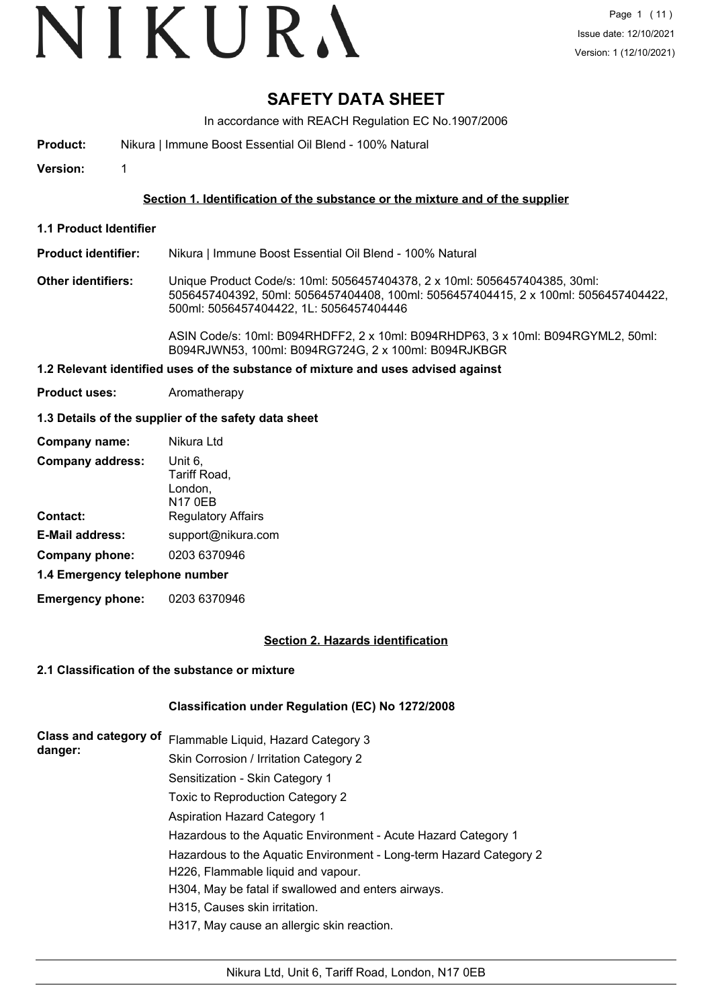# VIKURA

# **SAFETY DATA SHEET**

In accordance with REACH Regulation EC No.1907/2006

**Product:** Nikura | Immune Boost Essential Oil Blend - 100% Natural

**Version:** 1

## **Section 1. Identification of the substance or the mixture and of the supplier**

**1.1 Product Identifier**

**Product identifier:** Nikura | Immune Boost Essential Oil Blend - 100% Natural

**Other identifiers:** Unique Product Code/s: 10ml: 5056457404378, 2 x 10ml: 5056457404385, 30ml: 5056457404392, 50ml: 5056457404408, 100ml: 5056457404415, 2 x 100ml: 5056457404422, 500ml: 5056457404422, 1L: 5056457404446

> ASIN Code/s: 10ml: B094RHDFF2, 2 x 10ml: B094RHDP63, 3 x 10ml: B094RGYML2, 50ml: B094RJWN53, 100ml: B094RG724G, 2 x 100ml: B094RJKBGR

## **1.2 Relevant identified uses of the substance of mixture and uses advised against**

**Product uses:** Aromatherapy

#### **1.3 Details of the supplier of the safety data sheet**

| Company name:                  | Nikura Ltd                                           |
|--------------------------------|------------------------------------------------------|
| <b>Company address:</b>        | Unit 6,<br>Tariff Road,<br>London,<br><b>N17 0EB</b> |
| <b>Contact:</b>                | <b>Regulatory Affairs</b>                            |
| <b>E-Mail address:</b>         | support@nikura.com                                   |
| Company phone:                 | 0203 6370946                                         |
| 1.4 Emergency telephone number |                                                      |

**Emergency phone:** 0203 6370946

#### **Section 2. Hazards identification**

#### **2.1 Classification of the substance or mixture**

#### **Classification under Regulation (EC) No 1272/2008**

| <b>Class and category of</b><br>danger: | Flammable Liquid, Hazard Category 3                                                       |
|-----------------------------------------|-------------------------------------------------------------------------------------------|
|                                         | Skin Corrosion / Irritation Category 2                                                    |
|                                         | Sensitization - Skin Category 1                                                           |
|                                         | Toxic to Reproduction Category 2                                                          |
|                                         | <b>Aspiration Hazard Category 1</b>                                                       |
|                                         | Hazardous to the Aquatic Environment - Acute Hazard Category 1                            |
|                                         | Hazardous to the Aquatic Environment - Long-term Hazard Category 2                        |
|                                         | H226, Flammable liquid and vapour.<br>H304, May be fatal if swallowed and enters airways. |
|                                         | H315, Causes skin irritation.                                                             |
|                                         | H317, May cause an allergic skin reaction.                                                |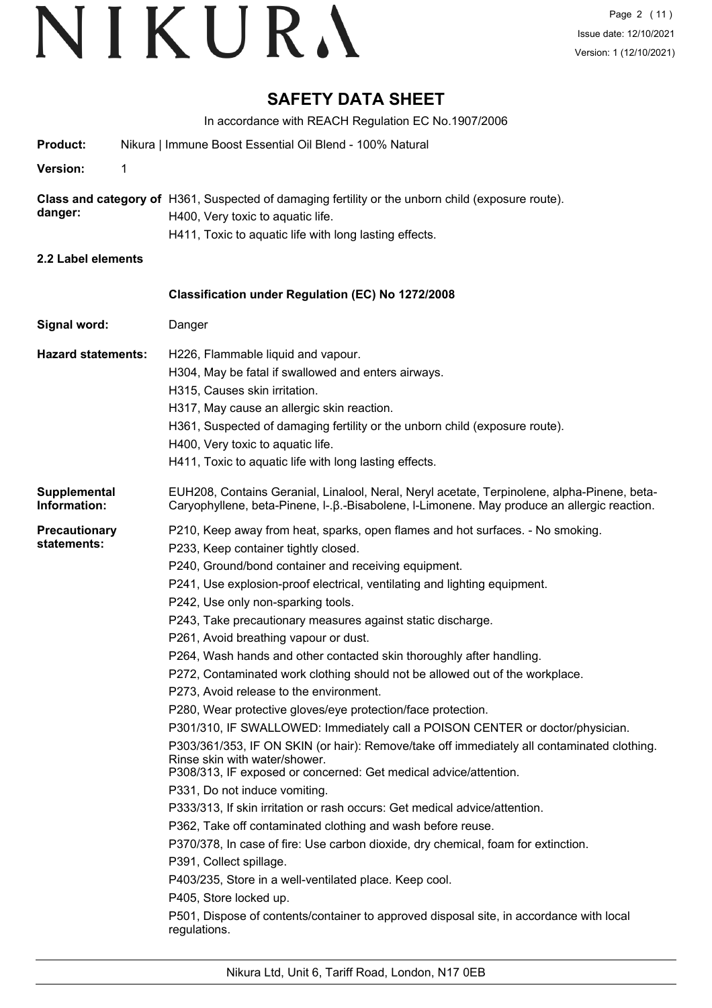# **SAFETY DATA SHEET**

In accordance with REACH Regulation EC No.1907/2006 **Product:** Nikura | Immune Boost Essential Oil Blend - 100% Natural **Version:** 1 **Class and category of** H361, Suspected of damaging fertility or the unborn child (exposure route). **danger:** H400, Very toxic to aquatic life. H411, Toxic to aquatic life with long lasting effects. **2.2 Label elements Signal word:** Danger **Classification under Regulation (EC) No 1272/2008 Hazard statements:** H226, Flammable liquid and vapour. H304, May be fatal if swallowed and enters airways. H315, Causes skin irritation. H317, May cause an allergic skin reaction. H361, Suspected of damaging fertility or the unborn child (exposure route). H400, Very toxic to aquatic life. H411, Toxic to aquatic life with long lasting effects. EUH208, Contains Geranial, Linalool, Neral, Neryl acetate, Terpinolene, alpha-Pinene, beta-Caryophyllene, beta-Pinene, l-.β.-Bisabolene, l-Limonene. May produce an allergic reaction. **Supplemental Information: Precautionary statements:** P210, Keep away from heat, sparks, open flames and hot surfaces. - No smoking. P233, Keep container tightly closed. P240, Ground/bond container and receiving equipment. P241, Use explosion-proof electrical, ventilating and lighting equipment. P242, Use only non-sparking tools. P243, Take precautionary measures against static discharge. P261, Avoid breathing vapour or dust. P264, Wash hands and other contacted skin thoroughly after handling. P272, Contaminated work clothing should not be allowed out of the workplace. P273, Avoid release to the environment. P280, Wear protective gloves/eye protection/face protection. P301/310, IF SWALLOWED: Immediately call a POISON CENTER or doctor/physician. P303/361/353, IF ON SKIN (or hair): Remove/take off immediately all contaminated clothing. Rinse skin with water/shower. P308/313, IF exposed or concerned: Get medical advice/attention. P331, Do not induce vomiting. P333/313, If skin irritation or rash occurs: Get medical advice/attention. P362, Take off contaminated clothing and wash before reuse. P370/378, In case of fire: Use carbon dioxide, dry chemical, foam for extinction. P391, Collect spillage. P403/235, Store in a well-ventilated place. Keep cool. P405, Store locked up. P501, Dispose of contents/container to approved disposal site, in accordance with local regulations.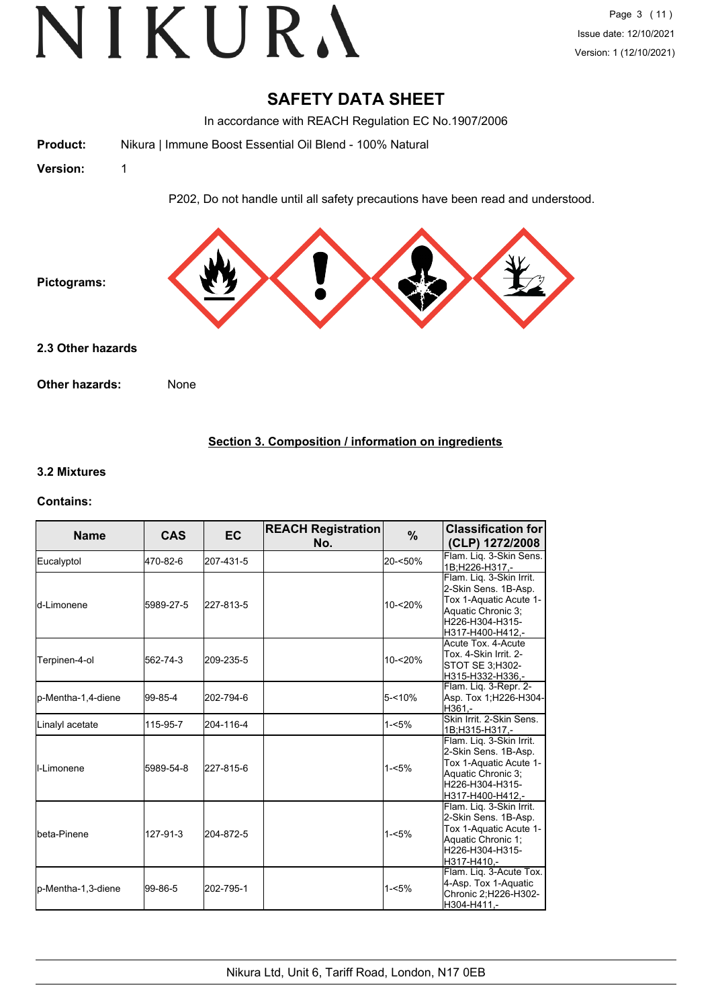## **SAFETY DATA SHEET**

In accordance with REACH Regulation EC No.1907/2006

**Product:** Nikura | Immune Boost Essential Oil Blend - 100% Natural

**Version:** 1

P202, Do not handle until all safety precautions have been read and understood.



**Other hazards:** None

## **Section 3. Composition / information on ingredients**

#### **3.2 Mixtures**

#### **Contains:**

| <b>Name</b>          | <b>CAS</b> | <b>EC</b> | <b>REACH Registration</b><br>No. | %          | <b>Classification for</b><br>(CLP) 1272/2008                                                                                            |
|----------------------|------------|-----------|----------------------------------|------------|-----------------------------------------------------------------------------------------------------------------------------------------|
| Eucalyptol           | 470-82-6   | 207-431-5 |                                  | 20-<50%    | Flam. Liq. 3-Skin Sens.<br>1B;H226-H317,-                                                                                               |
| <b>l</b> d-Limonene  | 5989-27-5  | 227-813-5 |                                  | $10 - 20%$ | Flam. Liq. 3-Skin Irrit.<br>2-Skin Sens. 1B-Asp.<br>Tox 1-Aquatic Acute 1-<br>Aquatic Chronic 3:<br>H226-H304-H315-<br>H317-H400-H412,- |
| Terpinen-4-ol        | 562-74-3   | 209-235-5 |                                  | 10-<20%    | Acute Tox. 4-Acute<br>Tox. 4-Skin Irrit. 2-<br>STOT SE 3;H302-<br>H315-H332-H336,-                                                      |
| p-Mentha-1,4-diene   | 99-85-4    | 202-794-6 |                                  | $5 - 10%$  | Flam. Liq. 3-Repr. 2-<br>Asp. Tox 1;H226-H304-<br>H361.-                                                                                |
| Linalyl acetate      | 115-95-7   | 204-116-4 |                                  | $1 - 5%$   | Skin Irrit, 2-Skin Sens.<br>1B;H315-H317,-                                                                                              |
| <b>I</b> I-Limonene  | 5989-54-8  | 227-815-6 |                                  | $1 - 5%$   | Flam. Liq. 3-Skin Irrit.<br>2-Skin Sens. 1B-Asp.<br>Tox 1-Aquatic Acute 1-<br>Aquatic Chronic 3:<br>H226-H304-H315-<br>H317-H400-H412,- |
| <b>I</b> beta-Pinene | 127-91-3   | 204-872-5 |                                  | $1 - 5%$   | Flam. Liq. 3-Skin Irrit.<br>2-Skin Sens. 1B-Asp.<br>Tox 1-Aquatic Acute 1-<br>Aquatic Chronic 1:<br>H226-H304-H315-<br>H317-H410.-      |
| p-Mentha-1,3-diene   | 99-86-5    | 202-795-1 |                                  | $1 - 5%$   | Flam. Lig. 3-Acute Tox.<br>4-Asp. Tox 1-Aquatic<br>Chronic 2; H226-H302-<br>H304-H411,-                                                 |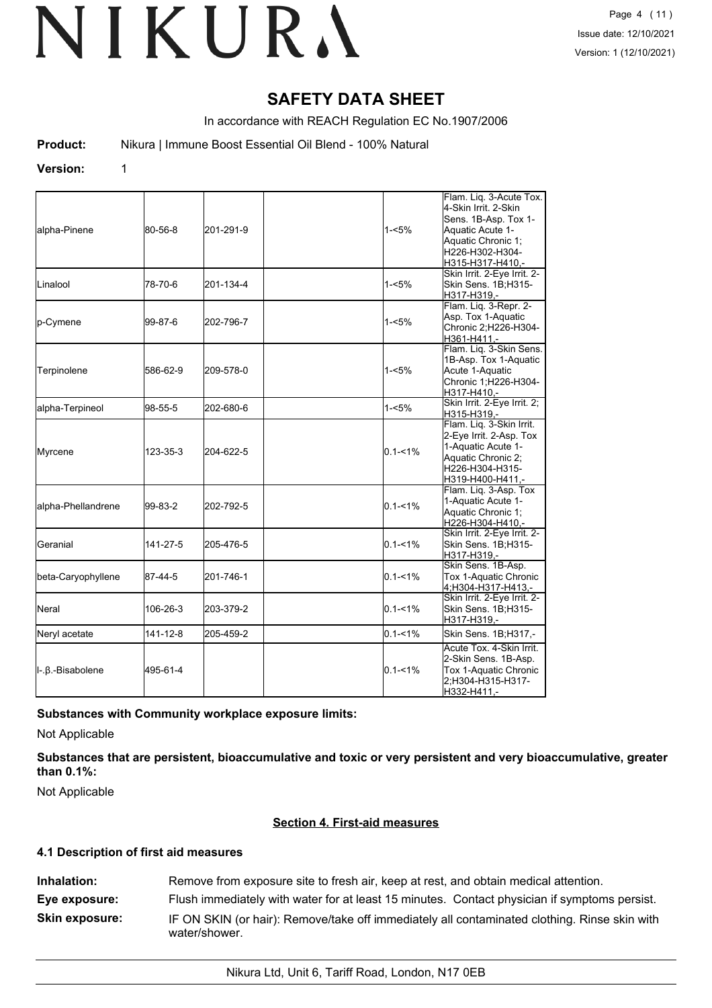# **SAFETY DATA SHEET**

In accordance with REACH Regulation EC No.1907/2006

**Product:** Nikura | Immune Boost Essential Oil Blend - 100% Natural

#### **Version:** 1

| alpha-Pinene                 | 80-56-8  | 201-291-9 | 1-<5%       | Flam. Liq. 3-Acute Tox.<br>4-Skin Irrit. 2-Skin<br>Sens. 1B-Asp. Tox 1-<br>Aquatic Acute 1-<br>Aquatic Chronic 1;<br>H226-H302-H304-<br>H315-H317-H410.- |
|------------------------------|----------|-----------|-------------|----------------------------------------------------------------------------------------------------------------------------------------------------------|
| <b>L</b> inalool             | 78-70-6  | 201-134-4 | 1-<5%       | Skin Irrit. 2-Eye Irrit. 2-<br>Skin Sens. 1B;H315-<br>H317-H319.-                                                                                        |
| p-Cymene                     | 99-87-6  | 202-796-7 | 1-<5%       | Flam. Liq. 3-Repr. 2-<br>Asp. Tox 1-Aquatic<br>Chronic 2;H226-H304-<br>H361-H411,-                                                                       |
| Terpinolene                  | 586-62-9 | 209-578-0 | $1 - 5%$    | Flam. Lig. 3-Skin Sens.<br>1B-Asp. Tox 1-Aquatic<br>Acute 1-Aquatic<br>Chronic 1;H226-H304-<br>H317-H410,-                                               |
| alpha-Terpineol              | 98-55-5  | 202-680-6 | 1-<5%       | Skin Irrit. 2-Eye Irrit. 2;<br>H315-H319,-                                                                                                               |
| Myrcene                      | 123-35-3 | 204-622-5 | $0.1 - 1\%$ | Flam. Liq. 3-Skin Irrit.<br>2-Eye Irrit. 2-Asp. Tox<br>1-Aquatic Acute 1-<br>Aquatic Chronic 2;<br>H226-H304-H315-<br>H319-H400-H411,-                   |
| alpha-Phellandrene           | 99-83-2  | 202-792-5 | $0.1 - 1\%$ | Flam. Liq. 3-Asp. Tox<br>1-Aquatic Acute 1-<br>Aquatic Chronic 1;<br>H226-H304-H410,-                                                                    |
| lGeranial                    | 141-27-5 | 205-476-5 | $0.1 - 1\%$ | Skin Irrit. 2-Eye Irrit. 2-<br>Skin Sens. 1B;H315-<br>H317-H319,-                                                                                        |
| beta-Caryophyllene           | 87-44-5  | 201-746-1 | $0.1 - 1\%$ | Skin Sens. 1B-Asp.<br>Tox 1-Aquatic Chronic<br>4;H304-H317-H413,-                                                                                        |
| <b>I</b> Neral               | 106-26-3 | 203-379-2 | $0.1 - 1\%$ | Skin Irrit. 2-Eye Irrit. 2-<br>Skin Sens. 1B;H315-<br>H317-H319,-                                                                                        |
| Neryl acetate                | 141-12-8 | 205-459-2 | $0.1 - 1\%$ | Skin Sens. 1B;H317,-                                                                                                                                     |
| $\ $ -. $\beta$ .-Bisabolene | 495-61-4 |           | $0.1 - 1\%$ | Acute Tox. 4-Skin Irrit.<br>2-Skin Sens. 1B-Asp.<br>Tox 1-Aquatic Chronic<br>2;H304-H315-H317-<br>H332-H411,-                                            |

#### **Substances with Community workplace exposure limits:**

Not Applicable

**Substances that are persistent, bioaccumulative and toxic or very persistent and very bioaccumulative, greater than 0.1%:**

Not Applicable

#### **Section 4. First-aid measures**

#### **4.1 Description of first aid measures**

**Inhalation:** Remove from exposure site to fresh air, keep at rest, and obtain medical attention. **Eye exposure:** Flush immediately with water for at least 15 minutes. Contact physician if symptoms persist. **Skin exposure:** IF ON SKIN (or hair): Remove/take off immediately all contaminated clothing. Rinse skin with water/shower.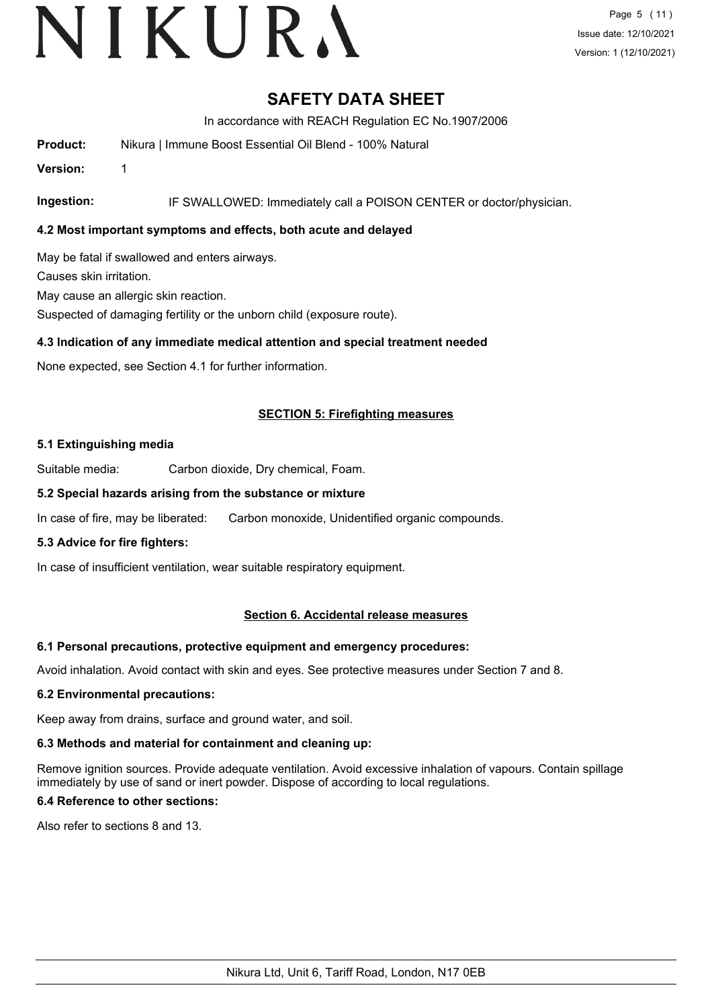# VIKURA

# **SAFETY DATA SHEET**

In accordance with REACH Regulation EC No.1907/2006

**Product:** Nikura | Immune Boost Essential Oil Blend - 100% Natural

**Version:** 1

**Ingestion:** IF SWALLOWED: Immediately call a POISON CENTER or doctor/physician.

## **4.2 Most important symptoms and effects, both acute and delayed**

May be fatal if swallowed and enters airways.

Causes skin irritation.

May cause an allergic skin reaction.

Suspected of damaging fertility or the unborn child (exposure route).

## **4.3 Indication of any immediate medical attention and special treatment needed**

None expected, see Section 4.1 for further information.

## **SECTION 5: Firefighting measures**

#### **5.1 Extinguishing media**

Suitable media: Carbon dioxide, Dry chemical, Foam.

#### **5.2 Special hazards arising from the substance or mixture**

In case of fire, may be liberated: Carbon monoxide, Unidentified organic compounds.

#### **5.3 Advice for fire fighters:**

In case of insufficient ventilation, wear suitable respiratory equipment.

#### **Section 6. Accidental release measures**

#### **6.1 Personal precautions, protective equipment and emergency procedures:**

Avoid inhalation. Avoid contact with skin and eyes. See protective measures under Section 7 and 8.

#### **6.2 Environmental precautions:**

Keep away from drains, surface and ground water, and soil.

#### **6.3 Methods and material for containment and cleaning up:**

Remove ignition sources. Provide adequate ventilation. Avoid excessive inhalation of vapours. Contain spillage immediately by use of sand or inert powder. Dispose of according to local regulations.

## **6.4 Reference to other sections:**

Also refer to sections 8 and 13.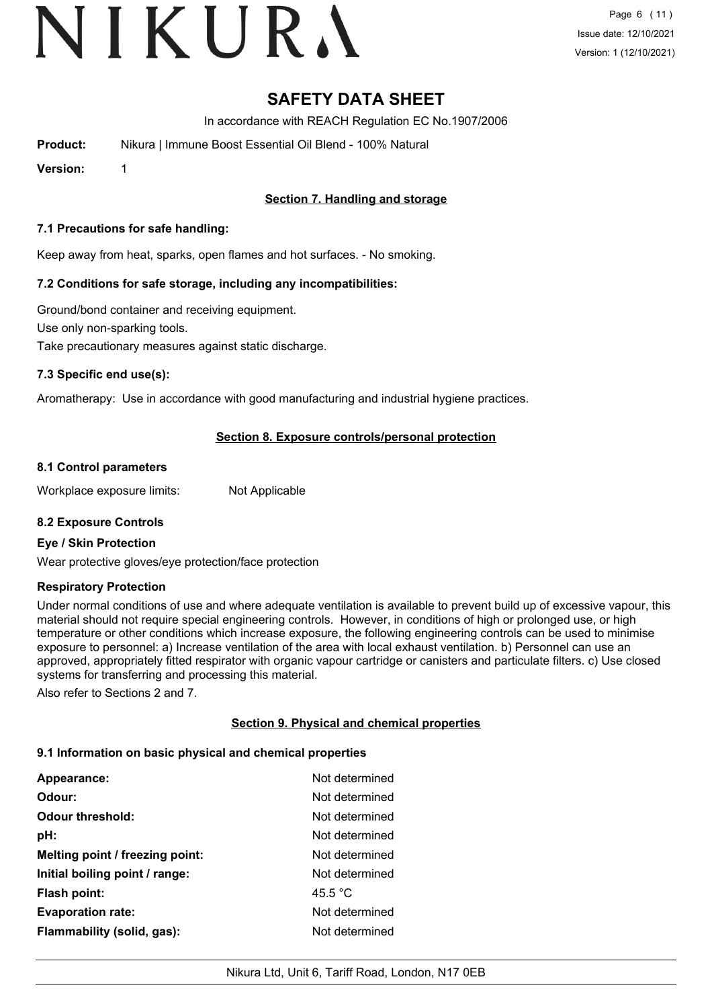# VIKURA

# **SAFETY DATA SHEET**

In accordance with REACH Regulation EC No.1907/2006

**Product:** Nikura | Immune Boost Essential Oil Blend - 100% Natural

**Version:** 1

## **Section 7. Handling and storage**

#### **7.1 Precautions for safe handling:**

Keep away from heat, sparks, open flames and hot surfaces. - No smoking.

## **7.2 Conditions for safe storage, including any incompatibilities:**

Ground/bond container and receiving equipment. Use only non-sparking tools. Take precautionary measures against static discharge.

## **7.3 Specific end use(s):**

Aromatherapy: Use in accordance with good manufacturing and industrial hygiene practices.

## **Section 8. Exposure controls/personal protection**

#### **8.1 Control parameters**

Workplace exposure limits: Not Applicable

#### **8.2 Exposure Controls**

#### **Eye / Skin Protection**

Wear protective gloves/eye protection/face protection

#### **Respiratory Protection**

Under normal conditions of use and where adequate ventilation is available to prevent build up of excessive vapour, this material should not require special engineering controls. However, in conditions of high or prolonged use, or high temperature or other conditions which increase exposure, the following engineering controls can be used to minimise exposure to personnel: a) Increase ventilation of the area with local exhaust ventilation. b) Personnel can use an approved, appropriately fitted respirator with organic vapour cartridge or canisters and particulate filters. c) Use closed systems for transferring and processing this material.

Also refer to Sections 2 and 7.

## **Section 9. Physical and chemical properties**

#### **9.1 Information on basic physical and chemical properties**

| <b>Appearance:</b>              | Not determined    |
|---------------------------------|-------------------|
| Odour:                          | Not determined    |
| <b>Odour threshold:</b>         | Not determined    |
| pH:                             | Not determined    |
| Melting point / freezing point: | Not determined    |
| Initial boiling point / range:  | Not determined    |
| <b>Flash point:</b>             | 45.5 $^{\circ}$ C |
| <b>Evaporation rate:</b>        | Not determined    |
| Flammability (solid, gas):      | Not determined    |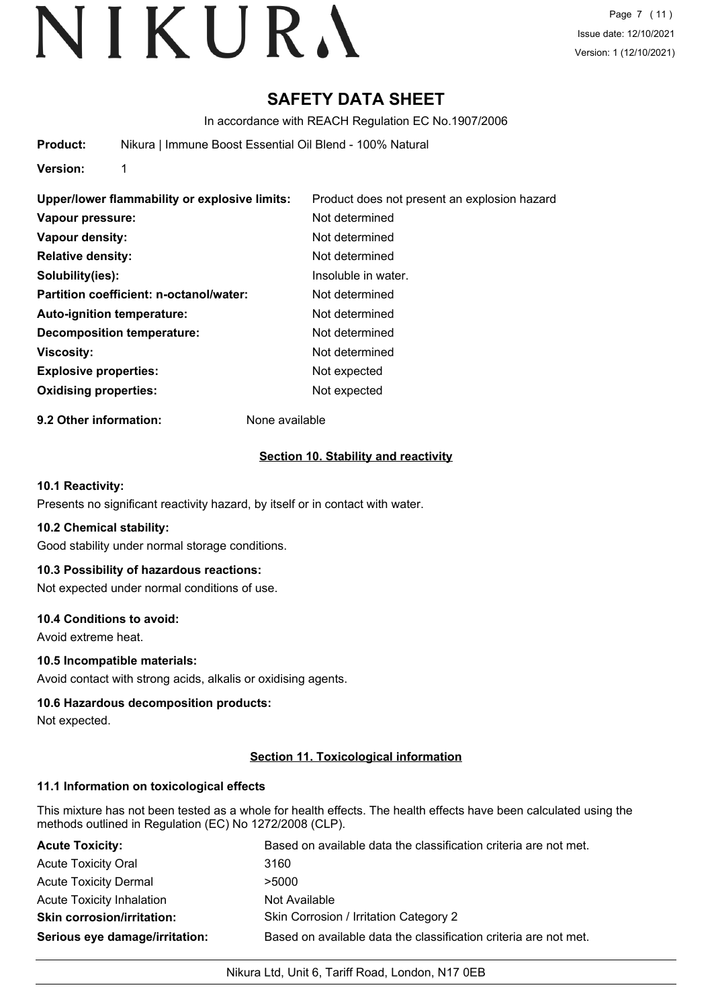# **SAFETY DATA SHEET**

In accordance with REACH Regulation EC No.1907/2006

**Product:** Nikura | Immune Boost Essential Oil Blend - 100% Natural

**Version:** 1

| Upper/lower flammability or explosive limits: | Product does not present an explosion hazard |
|-----------------------------------------------|----------------------------------------------|
| Vapour pressure:                              | Not determined                               |
| Vapour density:                               | Not determined                               |
| <b>Relative density:</b>                      | Not determined                               |
| Solubility(ies):                              | Insoluble in water.                          |
| Partition coefficient: n-octanol/water:       | Not determined                               |
| Auto-ignition temperature:                    | Not determined                               |
| Decomposition temperature:                    | Not determined                               |
| <b>Viscosity:</b>                             | Not determined                               |
| <b>Explosive properties:</b>                  | Not expected                                 |
| <b>Oxidising properties:</b>                  | Not expected                                 |

**9.2 Other information:** None available

## **Section 10. Stability and reactivity**

#### **10.1 Reactivity:**

Presents no significant reactivity hazard, by itself or in contact with water.

#### **10.2 Chemical stability:**

Good stability under normal storage conditions.

#### **10.3 Possibility of hazardous reactions:**

Not expected under normal conditions of use.

#### **10.4 Conditions to avoid:**

Avoid extreme heat.

## **10.5 Incompatible materials:**

Avoid contact with strong acids, alkalis or oxidising agents.

## **10.6 Hazardous decomposition products:**

Not expected.

#### **Section 11. Toxicological information**

#### **11.1 Information on toxicological effects**

This mixture has not been tested as a whole for health effects. The health effects have been calculated using the methods outlined in Regulation (EC) No 1272/2008 (CLP).

| <b>Acute Toxicity:</b>            | Based on available data the classification criteria are not met. |
|-----------------------------------|------------------------------------------------------------------|
| <b>Acute Toxicity Oral</b>        | 3160                                                             |
| <b>Acute Toxicity Dermal</b>      | >5000                                                            |
| <b>Acute Toxicity Inhalation</b>  | Not Available                                                    |
| <b>Skin corrosion/irritation:</b> | Skin Corrosion / Irritation Category 2                           |
| Serious eye damage/irritation:    | Based on available data the classification criteria are not met. |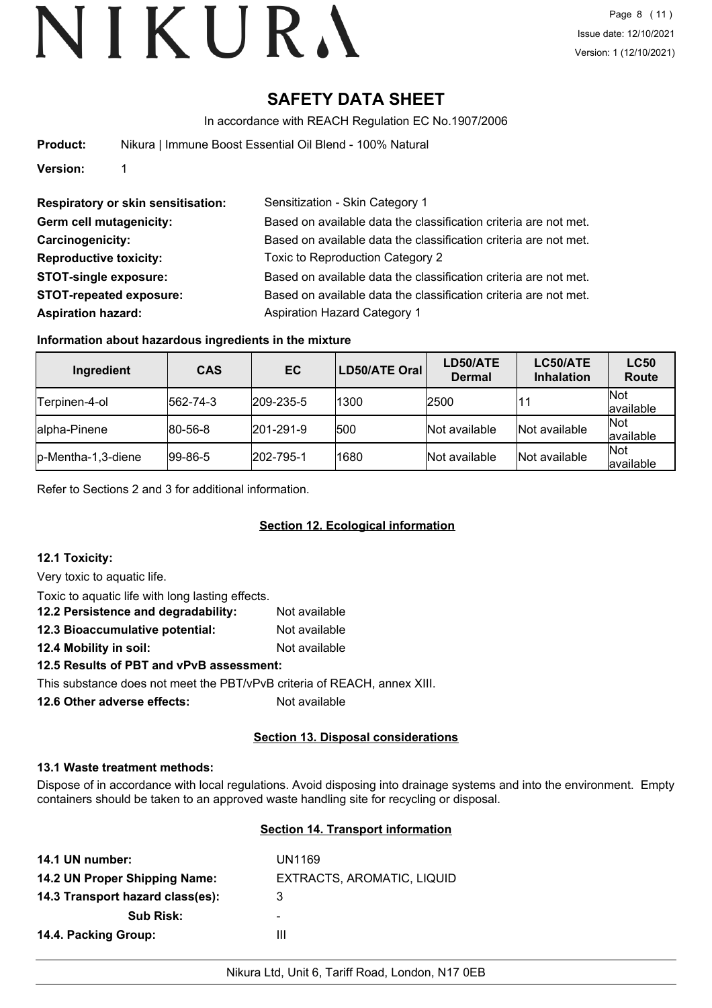# **SAFETY DATA SHEET**

In accordance with REACH Regulation EC No.1907/2006

| Product: |  |  |  | Nikura   Immune Boost Essential Oil Blend - 100% Natural |  |  |  |  |
|----------|--|--|--|----------------------------------------------------------|--|--|--|--|
|----------|--|--|--|----------------------------------------------------------|--|--|--|--|

**Version:** 1

| Sensitization - Skin Category 1                                  |
|------------------------------------------------------------------|
| Based on available data the classification criteria are not met. |
| Based on available data the classification criteria are not met. |
| Toxic to Reproduction Category 2                                 |
| Based on available data the classification criteria are not met. |
| Based on available data the classification criteria are not met. |
| <b>Aspiration Hazard Category 1</b>                              |
|                                                                  |

## **Information about hazardous ingredients in the mixture**

| Ingredient         | <b>CAS</b>      | EC                | LD50/ATE Oral | LD50/ATE<br><b>Dermal</b> | LC50/ATE<br><b>Inhalation</b> | <b>LC50</b><br><b>Route</b> |
|--------------------|-----------------|-------------------|---------------|---------------------------|-------------------------------|-----------------------------|
| Terpinen-4-ol      | 562-74-3        | 209-235-5         | 1300          | 2500                      | 11                            | Not<br>available            |
| alpha-Pinene       | $ 80 - 56 - 8 $ | $ 201 - 291 - 9 $ | 500           | Not available             | Not available                 | <b>Not</b><br>available     |
| p-Mentha-1,3-diene | $ 99-86-5 $     | 202-795-1         | 1680          | Not available             | Not available                 | Not<br>available            |

Refer to Sections 2 and 3 for additional information.

## **Section 12. Ecological information**

#### **12.1 Toxicity:**

Very toxic to aquatic life.

| Toxic to aquatic life with long lasting effects. |               |  |  |  |
|--------------------------------------------------|---------------|--|--|--|
| 12.2 Persistence and degradability:              | Not available |  |  |  |
| 12.3 Bioaccumulative potential:                  | Not available |  |  |  |
| 12.4 Mobility in soil:                           | Not available |  |  |  |
| 12.5 Results of PBT and vPvB assessment:         |               |  |  |  |

This substance does not meet the PBT/vPvB criteria of REACH, annex XIII.

**12.6 Other adverse effects:** Not available

## **Section 13. Disposal considerations**

#### **13.1 Waste treatment methods:**

Dispose of in accordance with local regulations. Avoid disposing into drainage systems and into the environment. Empty containers should be taken to an approved waste handling site for recycling or disposal.

#### **Section 14. Transport information**

| 14.1 UN number:                  | UN1169                     |
|----------------------------------|----------------------------|
| 14.2 UN Proper Shipping Name:    | EXTRACTS, AROMATIC, LIQUID |
| 14.3 Transport hazard class(es): | 3                          |
| <b>Sub Risk:</b>                 | -                          |
| 14.4. Packing Group:             | Ш                          |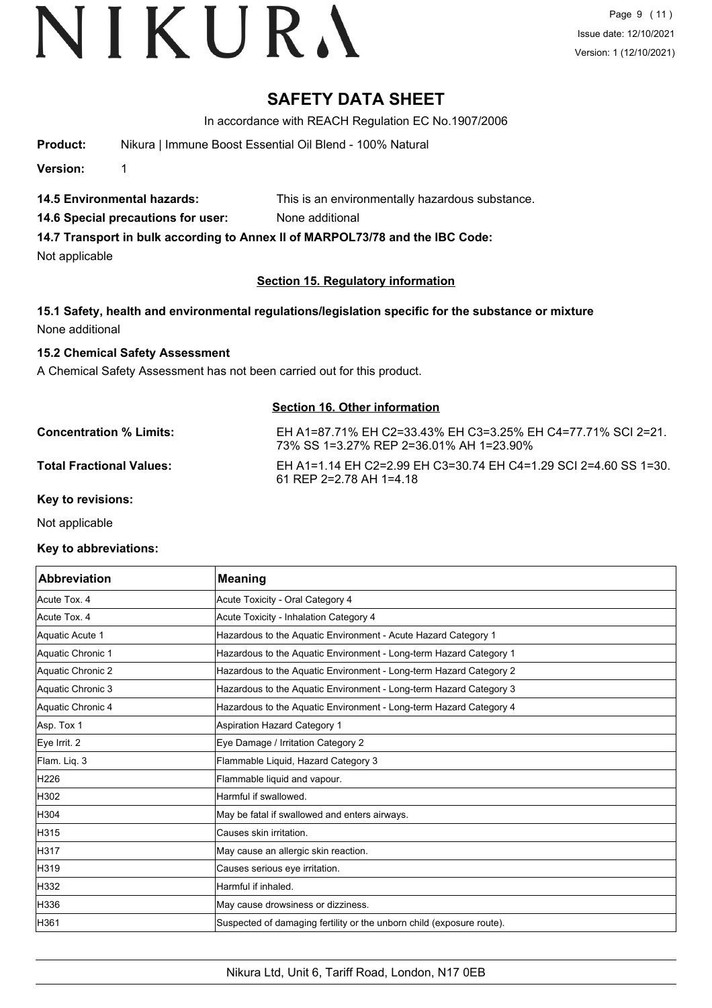# **SAFETY DATA SHEET**

In accordance with REACH Regulation EC No.1907/2006

**Product:** Nikura | Immune Boost Essential Oil Blend - 100% Natural

**Version:** 1

- **14.5 Environmental hazards:** This is an environmentally hazardous substance.
- **14.6 Special precautions for user:** None additional

**14.7 Transport in bulk according to Annex II of MARPOL73/78 and the IBC Code:**

Not applicable

## **Section 15. Regulatory information**

**15.1 Safety, health and environmental regulations/legislation specific for the substance or mixture** None additional

#### **15.2 Chemical Safety Assessment**

A Chemical Safety Assessment has not been carried out for this product.

## **Section 16. Other information**

**Concentration % Limits:** EH A1=87.71% EH C2=33.43% EH C3=3.25% EH C4=77.71% SCI 2=21. 73% SS 1=3.27% REP 2=36.01% AH 1=23.90% **Total Fractional Values:** EH A1=1.14 EH C2=2.99 EH C3=30.74 EH C4=1.29 SCI 2=4.60 SS 1=30. 61 REP 2=2.78 AH 1=4.18

**Key to revisions:**

Not applicable

#### **Key to abbreviations:**

| <b>Abbreviation</b> | <b>Meaning</b>                                                        |
|---------------------|-----------------------------------------------------------------------|
| Acute Tox. 4        | Acute Toxicity - Oral Category 4                                      |
| Acute Tox, 4        | Acute Toxicity - Inhalation Category 4                                |
| Aquatic Acute 1     | Hazardous to the Aquatic Environment - Acute Hazard Category 1        |
| Aquatic Chronic 1   | Hazardous to the Aquatic Environment - Long-term Hazard Category 1    |
| Aquatic Chronic 2   | Hazardous to the Aquatic Environment - Long-term Hazard Category 2    |
| Aquatic Chronic 3   | Hazardous to the Aquatic Environment - Long-term Hazard Category 3    |
| Aquatic Chronic 4   | Hazardous to the Aquatic Environment - Long-term Hazard Category 4    |
| Asp. Tox 1          | Aspiration Hazard Category 1                                          |
| Eye Irrit. 2        | Eye Damage / Irritation Category 2                                    |
| Flam. Liq. 3        | Flammable Liquid, Hazard Category 3                                   |
| H226                | Flammable liquid and vapour.                                          |
| H302                | Harmful if swallowed.                                                 |
| H304                | May be fatal if swallowed and enters airways.                         |
| H315                | Causes skin irritation.                                               |
| H317                | May cause an allergic skin reaction.                                  |
| H319                | Causes serious eye irritation.                                        |
| H332                | Harmful if inhaled.                                                   |
| H336                | May cause drowsiness or dizziness.                                    |
| H361                | Suspected of damaging fertility or the unborn child (exposure route). |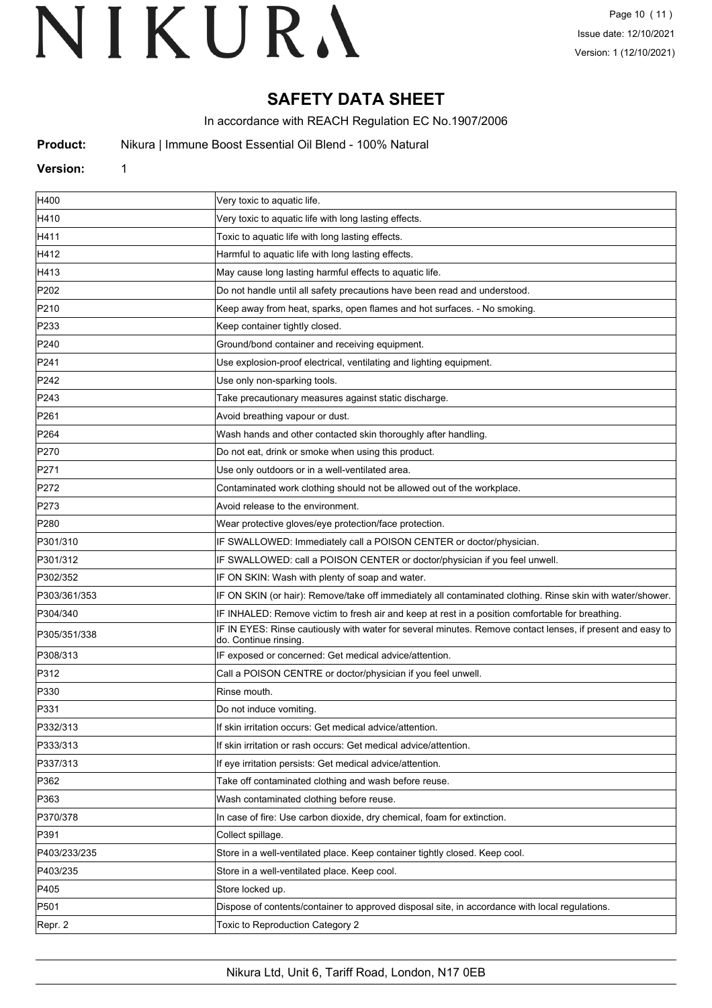# **SAFETY DATA SHEET**

In accordance with REACH Regulation EC No.1907/2006

**Product:** Nikura | Immune Boost Essential Oil Blend - 100% Natural

#### **Version:** 1

| H400             | Very toxic to aquatic life.                                                                                                         |
|------------------|-------------------------------------------------------------------------------------------------------------------------------------|
| H410             | Very toxic to aquatic life with long lasting effects.                                                                               |
| H411             | Toxic to aquatic life with long lasting effects.                                                                                    |
| H412             | Harmful to aquatic life with long lasting effects.                                                                                  |
| H413             | May cause long lasting harmful effects to aquatic life.                                                                             |
| P202             | Do not handle until all safety precautions have been read and understood.                                                           |
| P210             | Keep away from heat, sparks, open flames and hot surfaces. - No smoking.                                                            |
| P233             | Keep container tightly closed.                                                                                                      |
| P240             | Ground/bond container and receiving equipment.                                                                                      |
| P241             | Use explosion-proof electrical, ventilating and lighting equipment.                                                                 |
| P242             | Use only non-sparking tools.                                                                                                        |
| P243             | Take precautionary measures against static discharge.                                                                               |
| P <sub>261</sub> | Avoid breathing vapour or dust.                                                                                                     |
| P <sub>264</sub> | Wash hands and other contacted skin thoroughly after handling.                                                                      |
| P270             | Do not eat, drink or smoke when using this product.                                                                                 |
| P271             | Use only outdoors or in a well-ventilated area.                                                                                     |
| P272             | Contaminated work clothing should not be allowed out of the workplace.                                                              |
| P273             | Avoid release to the environment.                                                                                                   |
| P280             | Wear protective gloves/eye protection/face protection.                                                                              |
| P301/310         | IF SWALLOWED: Immediately call a POISON CENTER or doctor/physician.                                                                 |
| P301/312         | IF SWALLOWED: call a POISON CENTER or doctor/physician if you feel unwell.                                                          |
| P302/352         | IF ON SKIN: Wash with plenty of soap and water.                                                                                     |
| P303/361/353     | IF ON SKIN (or hair): Remove/take off immediately all contaminated clothing. Rinse skin with water/shower.                          |
| P304/340         | IF INHALED: Remove victim to fresh air and keep at rest in a position comfortable for breathing.                                    |
| P305/351/338     | IF IN EYES: Rinse cautiously with water for several minutes. Remove contact lenses, if present and easy to<br>do. Continue rinsing. |
| P308/313         | IF exposed or concerned: Get medical advice/attention.                                                                              |
| P312             | Call a POISON CENTRE or doctor/physician if you feel unwell.                                                                        |
| P330             | Rinse mouth.                                                                                                                        |
| P331             | Do not induce vomiting.                                                                                                             |
| P332/313         | If skin irritation occurs: Get medical advice/attention.                                                                            |
| P333/313         | If skin irritation or rash occurs: Get medical advice/attention.                                                                    |
| P337/313         | If eye irritation persists: Get medical advice/attention.                                                                           |
| P362             | Take off contaminated clothing and wash before reuse.                                                                               |
| P363             | Wash contaminated clothing before reuse.                                                                                            |
| P370/378         | In case of fire: Use carbon dioxide, dry chemical, foam for extinction.                                                             |
| P391             | Collect spillage.                                                                                                                   |
| P403/233/235     | Store in a well-ventilated place. Keep container tightly closed. Keep cool.                                                         |
| P403/235         | Store in a well-ventilated place. Keep cool.                                                                                        |
| P405             | Store locked up.                                                                                                                    |
| P501             | Dispose of contents/container to approved disposal site, in accordance with local regulations.                                      |
| Repr. 2          | Toxic to Reproduction Category 2                                                                                                    |